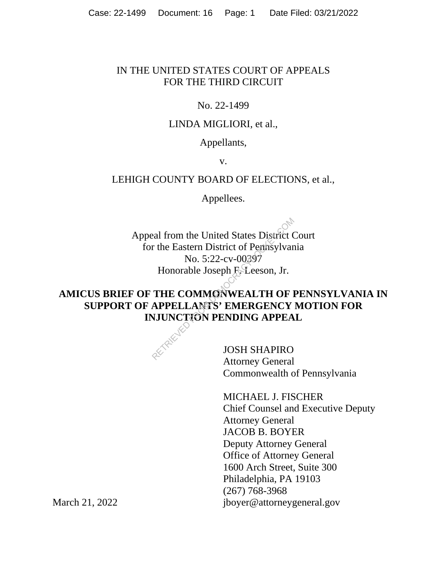## IN THE UNITED STATES COURT OF APPEALS FOR THE THIRD CIRCUIT

## No. 22-1499

# LINDA MIGLIORI, et al.,

### Appellants,

v.

## LEHIGH COUNTY BOARD OF ELECTIONS, et al.,

Appellees.

Appeal from the United States District Court for the Eastern District of Pennsylvania No. 5:22-cv-00397 Honorable Joseph F. Leeson, Jr. Palae from the United States District of Penasylvar<br>
No. 5:22-cv-00397<br>
Honorable Joseph F-Leeson, Jr.<br>
THE COMMONWEALTH OF I<br>
APPELLANTS' EMERGENCY<br>
NJUNCTION PENDING APPEA<br>
JOSH SHAPIRO

# **AMICUS BRIEF OF THE COMMONWEALTH OF PENNSYLVANIA IN SUPPORT OF APPELLANTS' EMERGENCY MOTION FOR INJUNCTION PENDING APPEAL**



JOSH SHAPIRO Attorney General Commonwealth of Pennsylvania

MICHAEL J. FISCHER Chief Counsel and Executive Deputy Attorney General JACOB B. BOYER Deputy Attorney General Office of Attorney General 1600 Arch Street, Suite 300 Philadelphia, PA 19103 (267) 768-3968 jboyer@attorneygeneral.gov

March 21, 2022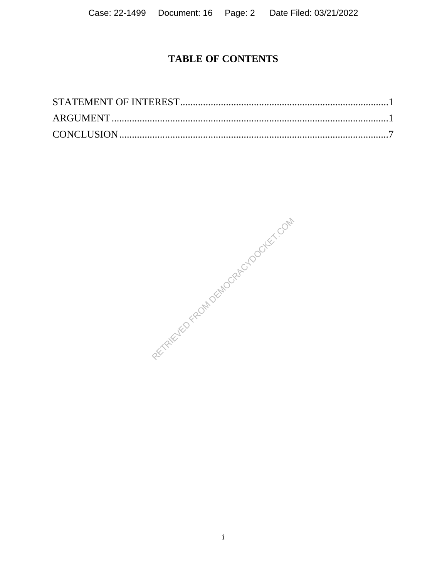# **TABLE OF CONTENTS**

REVIEWED FROM DEMOCRACYDOCKET.COM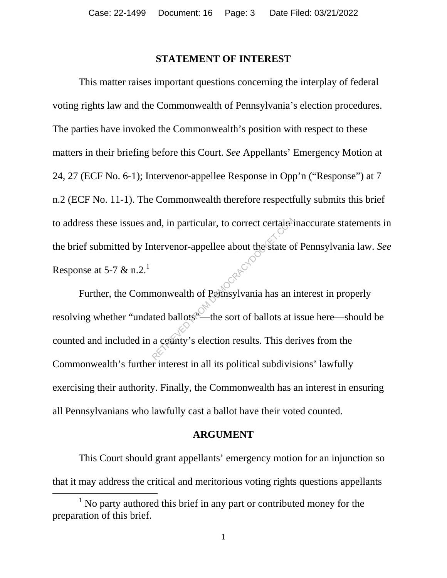### **STATEMENT OF INTEREST**

This matter raises important questions concerning the interplay of federal voting rights law and the Commonwealth of Pennsylvania's election procedures. The parties have invoked the Commonwealth's position with respect to these matters in their briefing before this Court. *See* Appellants' Emergency Motion at 24, 27 (ECF No. 6-1); Intervenor-appellee Response in Opp'n ("Response") at 7 n.2 (ECF No. 11-1). The Commonwealth therefore respectfully submits this brief to address these issues and, in particular, to correct certain inaccurate statements in the brief submitted by Intervenor-appellee about the state of Pennsylvania law. *See*  Response at 5-7  $\&$  n.2.<sup>1</sup>

Further, the Commonwealth of Pennsylvania has an interest in properly resolving whether "undated ballots"—the sort of ballots at issue here—should be counted and included in a county's election results. This derives from the Commonwealth's further interest in all its political subdivisions' lawfully exercising their authority. Finally, the Commonwealth has an interest in ensuring all Pennsylvanians who lawfully cast a ballot have their voted counted. and, in particular, to correct certains<br>
intervenor-appellee about the state of<br>
monwealth of Pennsylvania has an inted ballots<br>
—the sort of ballots at a county's election results. This de

### **ARGUMENT**

This Court should grant appellants' emergency motion for an injunction so that it may address the critical and meritorious voting rights questions appellants

 $\frac{1}{1}$  $\frac{1}{1}$  No party authored this brief in any part or contributed money for the preparation of this brief.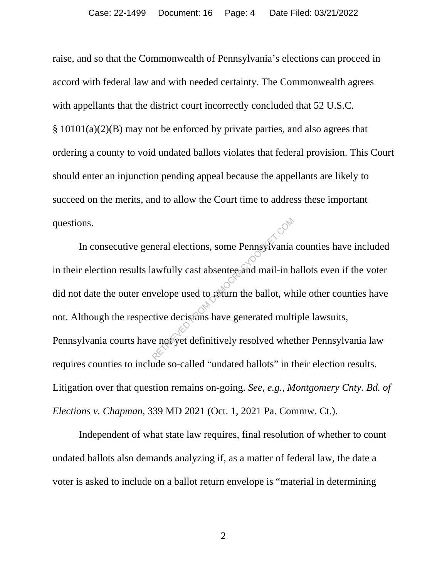raise, and so that the Commonwealth of Pennsylvania's elections can proceed in accord with federal law and with needed certainty. The Commonwealth agrees with appellants that the district court incorrectly concluded that 52 U.S.C. § 10101(a)(2)(B) may not be enforced by private parties, and also agrees that ordering a county to void undated ballots violates that federal provision. This Court should enter an injunction pending appeal because the appellants are likely to succeed on the merits, and to allow the Court time to address these important questions.

In consecutive general elections, some Pennsylvania counties have included in their election results lawfully cast absentee and mail-in ballots even if the voter did not date the outer envelope used to return the ballot, while other counties have not. Although the respective decisions have generated multiple lawsuits, Pennsylvania courts have not yet definitively resolved whether Pennsylvania law requires counties to include so-called "undated ballots" in their election results. Litigation over that question remains on-going. *See, e.g., Montgomery Cnty. Bd. of Elections v. Chapman*, 339 MD 2021 (Oct. 1, 2021 Pa. Commw. Ct.). Retained and mail-in b<br>awfully cast absentee and mail-in b<br>velope used to return the ballot, wh<br>tive decisions have generated mult<br>e not yet definitively resolved when

Independent of what state law requires, final resolution of whether to count undated ballots also demands analyzing if, as a matter of federal law, the date a voter is asked to include on a ballot return envelope is "material in determining

2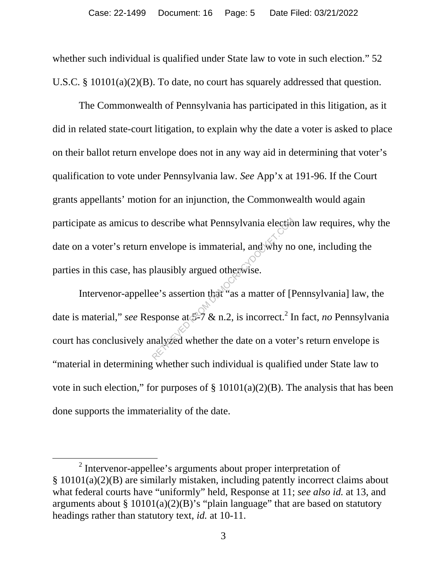whether such individual is qualified under State law to vote in such election." 52 U.S.C. § 10101(a)(2)(B). To date, no court has squarely addressed that question.

The Commonwealth of Pennsylvania has participated in this litigation, as it did in related state-court litigation, to explain why the date a voter is asked to place on their ballot return envelope does not in any way aid in determining that voter's qualification to vote under Pennsylvania law. *See* App'x at 191-96. If the Court grants appellants' motion for an injunction, the Commonwealth would again participate as amicus to describe what Pennsylvania election law requires, why the date on a voter's return envelope is immaterial, and why no one, including the parties in this case, has plausibly argued otherwise.

Intervenor-appellee's assertion that "as a matter of [Pennsylvania] law, the date is material," *see* Response at  $\mathcal{S}^{-7}$  & n.2, is incorrect.<sup>2</sup> In fact, *no* Pennsylvania court has conclusively analyzed whether the date on a voter's return envelope is "material in determining whether such individual is qualified under State law to vote in such election," for purposes of  $\S$  10101(a)(2)(B). The analysis that has been done supports the immateriality of the date. describe what Pennsylvania election<br>envelope is immaterial, and why no<br>plausibly argued otherwise.<br>ee's assertion that "as a matter of [H<br>sponse at  $5\frac{2}{3}$  & n.2, is incorrect.<sup>2</sup> I<br>nalyzed whether the date on a voter

 <sup>2</sup>  $2$  Intervenor-appellee's arguments about proper interpretation of § 10101(a)(2)(B) are similarly mistaken, including patently incorrect claims about what federal courts have "uniformly" held, Response at 11; *see also id.* at 13, and arguments about §  $10101(a)(2)(B)$ 's "plain language" that are based on statutory headings rather than statutory text, *id.* at 10-11.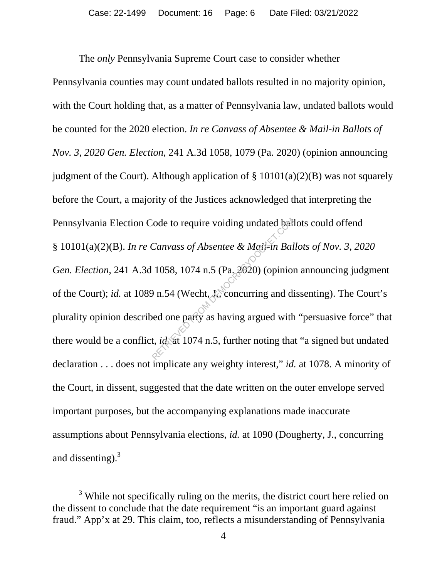The *only* Pennsylvania Supreme Court case to consider whether Pennsylvania counties may count undated ballots resulted in no majority opinion, with the Court holding that, as a matter of Pennsylvania law, undated ballots would be counted for the 2020 election. *In re Canvass of Absentee & Mail-in Ballots of Nov. 3, 2020 Gen. Election*, 241 A.3d 1058, 1079 (Pa. 2020) (opinion announcing judgment of the Court). Although application of  $\S$  10101(a)(2)(B) was not squarely before the Court, a majority of the Justices acknowledged that interpreting the Pennsylvania Election Code to require voiding undated ballots could offend § 10101(a)(2)(B). *In re Canvass of Absentee & Mail-in Ballots of Nov. 3, 2020 Gen. Election*, 241 A.3d 1058, 1074 n.5 (Pa. 2020) (opinion announcing judgment of the Court); *id.* at 1089 n.54 (Wecht, J., concurring and dissenting). The Court's plurality opinion described one party as having argued with "persuasive force" that there would be a conflict, *id.* at 1074 n.5, further noting that "a signed but undated declaration . . . does not implicate any weighty interest," *id.* at 1078. A minority of the Court, in dissent, suggested that the date written on the outer envelope served important purposes, but the accompanying explanations made inaccurate assumptions about Pennsylvania elections, *id.* at 1090 (Dougherty, J., concurring and dissenting). $3$ Canvass of Absentee & Mail-in Bal<br>
1058, 1074 n.5 (Pa. 2020) (opinion<br>
9 n.54 (Wecht, J., concurring and dived one party as having argued with<br>
t, *id* at 1074 n.5, further noting tha

 $\overline{\phantom{a}}$  3  $3$  While not specifically ruling on the merits, the district court here relied on the dissent to conclude that the date requirement "is an important guard against fraud." App'x at 29. This claim, too, reflects a misunderstanding of Pennsylvania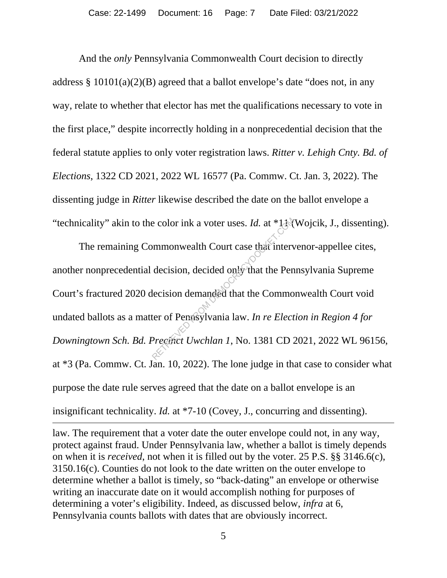And the *only* Pennsylvania Commonwealth Court decision to directly address  $\S 10101(a)(2)(B)$  agreed that a ballot envelope's date "does not, in any way, relate to whether that elector has met the qualifications necessary to vote in the first place," despite incorrectly holding in a nonprecedential decision that the federal statute applies to only voter registration laws. *Ritter v. Lehigh Cnty. Bd. of Elections*, 1322 CD 2021, 2022 WL 16577 (Pa. Commw. Ct. Jan. 3, 2022). The dissenting judge in *Ritter* likewise described the date on the ballot envelope a "technicality" akin to the color ink a voter uses. *Id.* at \*11 (Wojcik, J., dissenting).

The remaining Commonwealth Court case that intervenor-appellee cites, another nonprecedential decision, decided only that the Pennsylvania Supreme Court's fractured 2020 decision demanded that the Commonwealth Court void undated ballots as a matter of Pennsylvania law. *In re Election in Region 4 for Downingtown Sch. Bd. Precinct Uwchlan 1*, No. 1381 CD 2021, 2022 WL 96156, at \*3 (Pa. Commw. Ct. Jan. 10, 2022). The lone judge in that case to consider what purpose the date rule serves agreed that the date on a ballot envelope is an insignificant technicality. *Id.* at \*7-10 (Covey, J., concurring and dissenting). Example 1.4 a voter uses. *Id.* at \*13<br>
mmonwealth Court case that interv<br>
decision, decided only that the Pen<br>
lecision demanded that the Commo<br>
ter of Penasylvania law. *In re Elect*<br>
Preciact Uwchlan 1, No. 1381 CD

law. The requirement that a voter date the outer envelope could not, in any way, protect against fraud. Under Pennsylvania law, whether a ballot is timely depends on when it is *received*, not when it is filled out by the voter. 25 P.S. §§ 3146.6(c), 3150.16(c). Counties do not look to the date written on the outer envelope to determine whether a ballot is timely, so "back-dating" an envelope or otherwise writing an inaccurate date on it would accomplish nothing for purposes of determining a voter's eligibility. Indeed, as discussed below, *infra* at 6, Pennsylvania counts ballots with dates that are obviously incorrect.

 $\overline{a}$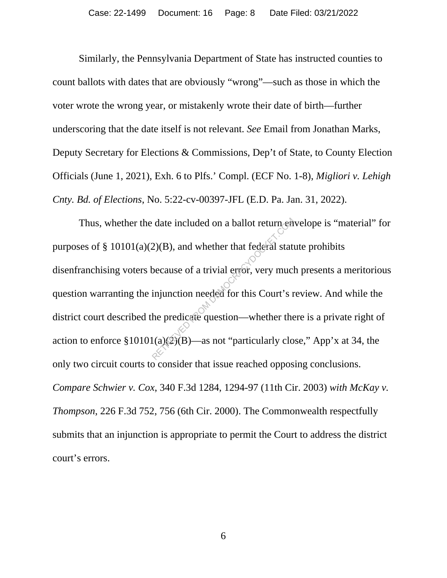Similarly, the Pennsylvania Department of State has instructed counties to count ballots with dates that are obviously "wrong"—such as those in which the voter wrote the wrong year, or mistakenly wrote their date of birth—further underscoring that the date itself is not relevant. *See* Email from Jonathan Marks, Deputy Secretary for Elections & Commissions, Dep't of State, to County Election Officials (June 1, 2021), Exh. 6 to Plfs.' Compl. (ECF No. 1-8), *Migliori v. Lehigh Cnty. Bd. of Elections*, No. 5:22-cv-00397-JFL (E.D. Pa. Jan. 31, 2022).

Thus, whether the date included on a ballot return envelope is "material" for purposes of  $\S$  10101(a)(2)(B), and whether that federal statute prohibits disenfranchising voters because of a trivial error, very much presents a meritorious question warranting the injunction needed for this Court's review. And while the district court described the predicate question—whether there is a private right of action to enforce  $$10101(a)(2)(B)$ —as not "particularly close," App'x at 34, the only two circuit courts to consider that issue reached opposing conclusions. *Compare Schwier v. Cox*, 340 F.3d 1284, 1294-97 (11th Cir. 2003) *with McKay v. Thompson*, 226 F.3d 752, 756 (6th Cir. 2000). The Commonwealth respectfully submits that an injunction is appropriate to permit the Court to address the district court's errors. date included on a ballot return  $\hat{\epsilon}$ <br>2)(B), and whether that federal state<br>because of a trivial error, very mucl<br>injunction needed for this Court's r<br>he predicate question—whether the<br> $\epsilon$ <br>(a)(2)(B)—as not "particular

6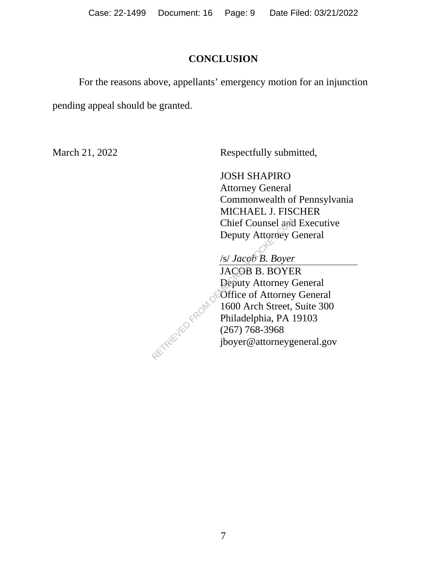# **CONCLUSION**

 For the reasons above, appellants' emergency motion for an injunction pending appeal should be granted.

March 21, 2022 Respectfully submitted,

JOSH SHAPIRO Attorney General Commonwealth of Pennsylvania MICHAEL J. FISCHER Chief Counsel and Executive Deputy Attorney General

/s/ *Jacob B. Boyer*  JACOB B. BOYER Deputy Attorney General Office of Attorney General 1600 Arch Street, Suite 300 Philadelphia, PA 19103 (267) 768-3968 jboyer@attorneygeneral.gov RECTRICO FROM DEI